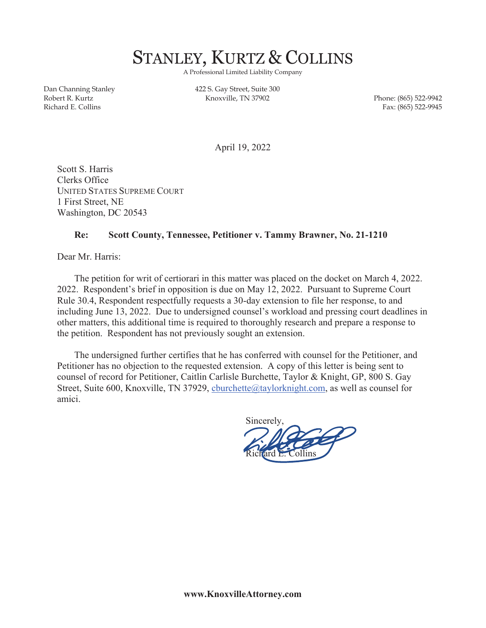

A Professional Limited Liability Company

Dan Channing Stanley Robert R. Kurtz Richard E. Collins

422 S. Gay Street, Suite 300 Knoxville, TN 37902 Phone: (865) 522-9942

Fax: (865) 522-9945

April 19, 2022

Scott S. Harris Clerks Office UNITED STATES SUPREME COURT 1 First Street, NE Washington, DC 20543

## **Re: Scott County, Tennessee, Petitioner v. Tammy Brawner, No. 21-1210**

Dear Mr. Harris:

The petition for writ of certiorari in this matter was placed on the docket on March 4, 2022. 2022. Respondent's brief in opposition is due on May 12, 2022. Pursuant to Supreme Court Rule 30.4, Respondent respectfully requests a 30-day extension to file her response, to and including June 13, 2022. Due to undersigned counsel's workload and pressing court deadlines in other matters, this additional time is required to thoroughly research and prepare a response to the petition. Respondent has not previously sought an extension.

 The undersigned further certifies that he has conferred with counsel for the Petitioner, and Petitioner has no objection to the requested extension. A copy of this letter is being sent to counsel of record for Petitioner, Caitlin Carlisle Burchette, Taylor & Knight, GP, 800 S. Gay Street, Suite 600, Knoxville, TN 37929, cburchette@taylorknight.com, as well as counsel for amici.

 Sincerely, Richard E. Collins